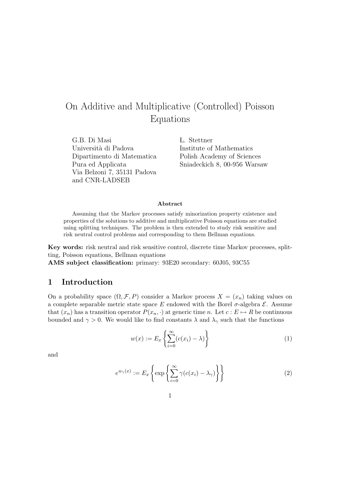# On Additive and Multiplicative (Controlled) Poisson Equations

G.B. Di Masi *L.* Stettner Università di Padova Institute of Mathematics Dipartimento di Matematica Polish Academy of Sciences Via Belzoni 7, 35131 Padova and CNR-LADSEB

Pura ed Applicata Sniadeckich 8, 00-956 Warsaw

#### Abstract

Assuming that the Markov processes satisfy minorization property existence and properties of the solutions to additive and multiplicative Poisson equations are studied using splitting techniques. The problem is then extended to study risk sensitive and risk neutral control problems and corresponding to them Bellman equations.

Key words: risk neutral and risk sensitive control, discrete time Markov processes, splitting, Poisson equations, Bellman equations

AMS subject classification: primary: 93E20 secondary: 60J05, 93C55

## 1 Introduction

On a probability space  $(\Omega, \mathcal{F}, P)$  consider a Markov process  $X = (x_n)$  taking values on a complete separable metric state space E endowed with the Borel  $\sigma$ -algebra  $\mathcal{E}$ . Assume that  $(x_n)$  has a transition operator  $P(x_n, \cdot)$  at generic time n. Let  $c : E \mapsto R$  be continuous bounded and  $\gamma > 0$ . We would like to find constants  $\lambda$  and  $\lambda_{\gamma}$  such that the functions

$$
w(x) := E_x \left\{ \sum_{i=0}^{\infty} (c(x_i) - \lambda) \right\}
$$
 (1)

and

$$
e^{w_{\gamma}(x)} := E_x \left\{ \exp \left\{ \sum_{i=0}^{\infty} \gamma (c(x_i) - \lambda_{\gamma}) \right\} \right\}
$$
 (2)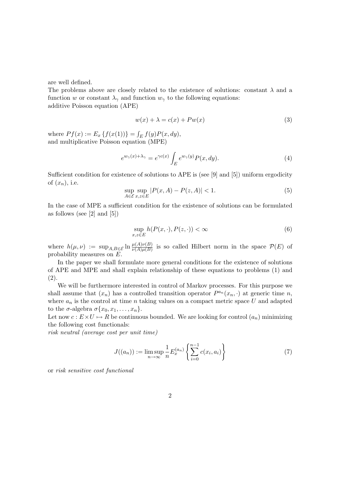are well defined.

The problems above are closely related to the existence of solutions: constant  $\lambda$  and a function w or constant  $\lambda_{\gamma}$  and function  $w_{\gamma}$  to the following equations: additive Poisson equation (APE)

$$
w(x) + \lambda = c(x) + P w(x)
$$
\n(3)

where  $Pf(x) := E_x \{ f(x(1)) \} = \int$  $E f(y) P(x, dy),$ and multiplicative Poisson equation (MPE)

$$
e^{w_{\gamma}(x)+\lambda_{\gamma}} = e^{\gamma c(x)} \int_{E} e^{w_{\gamma}(y)} P(x, dy). \tag{4}
$$

Sufficient condition for existence of solutions to APE is (see [9] and [5]) uniform ergodicity of  $(x_n)$ , i.e.

$$
\sup_{A \in \mathcal{E}} \sup_{x,z \in E} |P(x,A) - P(z,A)| < 1. \tag{5}
$$

In the case of MPE a sufficient condition for the existence of solutions can be formulated as follows (see [2] and [5])

$$
\sup_{x,z\in E} h(P(x,\cdot),P(z,\cdot)) < \infty \tag{6}
$$

where  $h(\mu, \nu) := \sup_{A,B \in \mathcal{E}} \ln \frac{\mu(A)\nu(B)}{\nu(A)\mu(B)}$  is so called Hilbert norm in the space  $\mathcal{P}(E)$  of probability measures on E.

In the paper we shall formulate more general conditions for the existence of solutions of APE and MPE and shall explain relationship of these equations to problems (1) and (2).

We will be furthermore interested in control of Markov processes. For this purpose we shall assume that  $(x_n)$  has a controlled transition operator  $P^{a_n}(x_n, \cdot)$  at generic time n, where  $a_n$  is the control at time n taking values on a compact metric space U and adapted to the  $\sigma$ -algebra  $\sigma\{x_0, x_1, \ldots, x_n\}$ .

Let now  $c: E \times U \mapsto R$  be continuous bounded. We are looking for control  $(a_n)$  minimizing the following cost functionals:

risk neutral (average cost per unit time)

$$
J((a_n)) := \limsup_{n \to \infty} \frac{1}{n} E_x^{(a_n)} \left\{ \sum_{i=0}^{n-1} c(x_i, a_i) \right\} \tag{7}
$$

or risk sensitive cost functional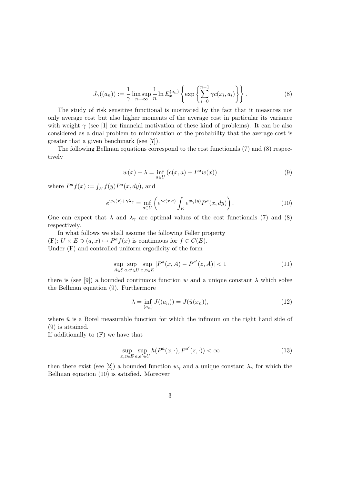$$
J_{\gamma}((a_n)) := \frac{1}{\gamma} \limsup_{n \to \infty} \frac{1}{n} \ln E_x^{(a_n)} \left\{ \exp \left\{ \sum_{i=0}^{n-1} \gamma c(x_i, a_i) \right\} \right\}.
$$
 (8)

The study of risk sensitive functional is motivated by the fact that it measures not only average cost but also higher moments of the average cost in particular its variance with weight  $\gamma$  (see [1] for financial motivation of these kind of problems). It can be also considered as a dual problem to minimization of the probability that the average cost is greater that a given benchmark (see [7]).

The following Bellman equations correspond to the cost functionals (7) and (8) respectively

$$
w(x) + \lambda = \inf_{a \in U} (c(x, a) + P^a w(x))
$$
\n(9)

where  $P^a f(x) := \int_E f(y) P^a(x, dy)$ , and

$$
e^{w_{\gamma}(x) + \gamma \lambda_{\gamma}} = \inf_{a \in U} \left( e^{\gamma c(x,a)} \int_{E} e^{w_{\gamma}(y)} P^{a}(x, dy) \right).
$$
 (10)

One can expect that  $\lambda$  and  $\lambda_{\gamma}$  are optimal values of the cost functionals (7) and (8) respectively.

In what follows we shall assume the following Feller property (F):  $U \times E \ni (a, x) \mapsto P^a f(x)$  is continuous for  $f \in C(E)$ . Under (F) and controlled uniform ergodicity of the form

$$
\sup_{A \in \mathcal{E}} \sup_{a,a' \in U} \sup_{x,z \in E} |P^a(x,A) - P^{a'}(z,A)| < 1 \tag{11}
$$

there is (see [9]) a bounded continuous function w and a unique constant  $\lambda$  which solve the Bellman equation (9). Furthermore

$$
\lambda = \inf_{(a_n)} J((a_n)) = J(\hat{u}(x_n)),
$$
\n(12)

where  $\hat{u}$  is a Borel measurable function for which the infimum on the right hand side of (9) is attained.

If additionally to (F) we have that

$$
\sup_{x,z \in E} \sup_{a,a' \in U} h(P^a(x,\cdot), P^{a'}(z,\cdot)) < \infty \tag{13}
$$

then there exist (see [2]) a bounded function  $w_{\gamma}$  and a unique constant  $\lambda_{\gamma}$  for which the Bellman equation (10) is satisfied. Moreover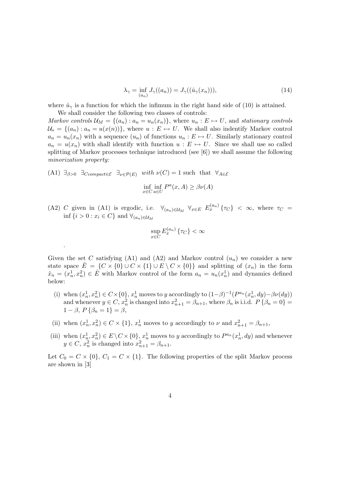$$
\lambda_{\gamma} = \inf_{(a_n)} J_{\gamma}((a_n)) = J_{\gamma}((\hat{u}_{\gamma}(x_n))), \qquad (14)
$$

where  $\hat{u}_{\gamma}$  is a function for which the infimum in the right hand side of (10) is attained.

We shall consider the following two classes of controls: Markov controls  $\mathcal{U}_M = \{(a_n) : a_n = u_n(x_n)\}\$ , where  $u_n : E \mapsto U$ , and stationary controls  $U_s = \{(a_n) : a_n = u(x(n))\}$ , where  $u : E \mapsto U$ . We shall also indentify Markov control  $a_n = u_n(x_n)$  with a sequence  $(u_n)$  of functions  $u_n : E \mapsto U$ . Similarly stationary control  $a_n = u(x_n)$  with shall identify with function  $u : E \mapsto U$ . Since we shall use so called splitting of Markov processes technique introduced (see [6]) we shall assume the following minorization property:

(A1)  $\exists_{\beta>0}$   $\exists_{\text{Compect}\in\mathcal{E}}$   $\exists_{\nu\in\mathcal{P}(E)}$  with  $\nu(C)=1$  such that  $\forall_{A\in\mathcal{E}}$ 

.

$$
\inf_{x \in C} \inf_{a \in U} P^a(x, A) \ge \beta \nu(A)
$$

(A2) C given in (A1) is ergodic, i.e.  $\forall_{(a_n)\in\mathcal{U}_M}$   $\forall_{x\in E}$   $E_x^{(a_n)}\{\tau_C\} < \infty$ , where  $\tau_C =$ inf  $\{i > 0 : x_i \in C\}$  and  $\forall_{(a_n) \in \mathcal{U}_M}$ 

$$
\sup_{x \in C} E_x^{(a_n)} \{ \tau_C \} < \infty
$$

Given the set C satisfying (A1) and (A2) and Markov control  $(u_n)$  we consider a new state space  $\hat{E} = \{C \times \{0\} \cup C \times \{1\} \cup E \setminus C \times \{0\}\}\$ and splitting of  $(x_n)$  in the form  $\hat{x}_n = (x_n^1, x_n^2) \in \hat{E}$  with Markov control of the form  $a_n = u_n(x_n^1)$  and dynamics defined below:

- (i) when  $(x_n^1, x_n^2) \in C \times \{0\}$ ,  $x_n^1$  moves to y accordingly to  $(1-\beta)^{-1}(P^{a_n}(x_n^1, dy) \beta \nu(dy))$ and whenever  $y \in C$ ,  $x_n^2$  is changed into  $x_{n+1}^2 = \beta_{n+1}$ , where  $\beta_n$  is i.i.d.  $P\{\beta_n = 0\}$  $1 - \beta$ ,  $P\{\beta_n = 1\} = \beta$ ,
- (ii) when  $(x_n^1, x_n^2) \in C \times \{1\}$ ,  $x_n^1$  moves to y accordingly to  $\nu$  and  $x_{n+1}^2 = \beta_{n+1}$ ,
- (iii) when  $(x_n^1, x_n^2) \in E \setminus C \times \{0\}$ ,  $x_n^1$  moves to y accordingly to  $P^{a_n}(x_n^1, dy)$  and whenever  $y \in C$ ,  $x_n^2$  is changed into  $x_{n+1}^2 = \beta_{n+1}$ .

Let  $C_0 = C \times \{0\}$ ,  $C_1 = C \times \{1\}$ . The following properties of the split Markov process are shown in [3]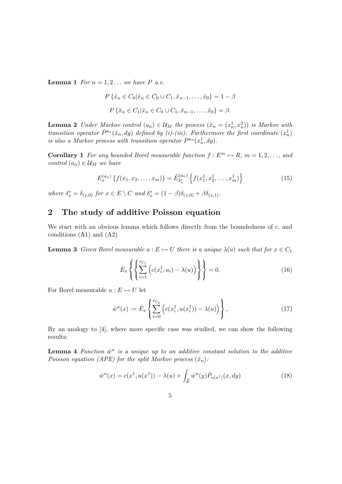**Lemma 1** For  $n = 1, 2...$  we have P a.e.

$$
P\{\hat{x}_n \in C_0 | \hat{x}_n \in C_0 \cup C_1, \hat{x}_{n-1}, \dots, \hat{x}_0\} = 1 - \beta
$$

$$
P\{\hat{x}_n \in C_1 | \hat{x}_n \in C_0 \cup C_1, \hat{x}_{n-1}, \dots, \hat{x}_0\} = \beta.
$$

**Lemma 2** Under Markov control  $(a_n) \in \mathcal{U}_M$  the process  $(\hat{x}_n = (x_n^1, x_n^2))$  is Markov with transition operator  $\hat{P}^{a_n}(\hat{x}_n, dy)$  defined by (i)-(iii). Furthermore the first coordinate  $(x_n^1)$ is also a Markov process with transition operator  $P^{a_n}(x_n^1, dy)$ .

**Corollary 1** For any bounded Borel measurable function  $f : E^m \mapsto R$ ,  $m = 1, 2, \ldots$ , and control  $(a_n) \in \mathcal{U}_M$  we have

$$
E_x^{(a_n)}\left\{f(x_1, x_2, \dots, x_m)\right\} = \hat{E}_{\delta_x^*}^{(a_n)}\left\{f(x_1^1, x_2^1, \dots, x_m^1)\right\}
$$
(15)

where  $\delta_x^* = \delta_{(x,0)}$  for  $x \in E \setminus C$  and  $\delta_x^* = (1 - \beta)\delta_{(x,0)} + \beta\delta_{(x,1)}$ .

## 2 The study of additive Poisson equation

We start with an obvious lemma which follows directly from the boundedness of  $c$ , and conditions (A1) and (A2)

**Lemma 3** Given Borel measurable  $u : E \mapsto U$  there is a unique  $\lambda(u)$  such that for  $x \in C_1$ 

$$
\hat{E}_x \left\{ \left\{ \sum_{i=1}^{\tau_{C_1}} \left( c(x_i^1, a_i) - \lambda(u) \right) \right\} \right\} = 0.
$$
\n(16)

For Borel measurable  $u : E \mapsto U$  let

$$
\hat{w}^u(x) := \hat{E}_x \left\{ \sum_{i=0}^{\tau_{C_1}} \left( c(x_i^1, u(x_i^1)) - \lambda(u) \right) \right\},\tag{17}
$$

By an analogy to [4], where more specific case was studied, we can show the following results:

**Lemma 4** Function  $\hat{w}^u$  is a unique up to an additive constant solution to the additive Poisson equation (APE) for the split Markov process  $(\hat{x}_n)$ :

$$
\hat{w}^u(x) = c(x^1, u(x^1)) - \lambda(u) + \int_{\hat{E}} \hat{w}^u(y) \hat{P}_{u(x^1)}(x, dy)
$$
\n(18)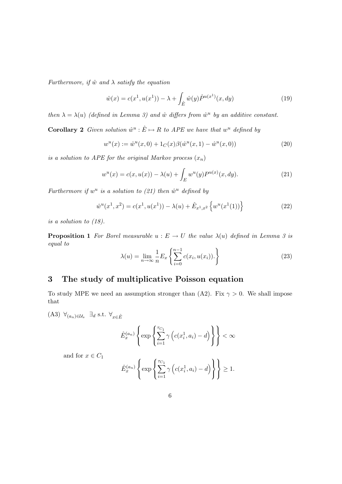Furthermore, if  $\hat{w}$  and  $\lambda$  satisfy the equation

$$
\hat{w}(x) = c(x^1, u(x^1)) - \lambda + \int_{\hat{E}} \hat{w}(y) \hat{P}^{u(x^1)}(x, dy)
$$
\n(19)

then  $\lambda = \lambda(u)$  (defined in Lemma 3) and  $\hat{w}$  differs from  $\hat{w}^u$  by an additive constant.

**Corollary 2** Given solution  $\hat{w}^u : \hat{E} \mapsto R$  to APE we have that  $w^u$  defined by

$$
w^{u}(x) := \hat{w}^{u}(x,0) + 1_{C}(x)\beta(\hat{w}^{u}(x,1) - \hat{w}^{u}(x,0))
$$
\n(20)

is a solution to APE for the original Markov process  $(x_n)$ 

$$
w^{u}(x) = c(x, u(x)) - \lambda(u) + \int_{E} w^{u}(y)P^{u(x)}(x, dy).
$$
 (21)

Furthermore if  $w^u$  is a solution to (21) then  $\hat{w}^u$  defined by

$$
\hat{w}^u(x^1, x^2) = c(x^1, u(x^1)) - \lambda(u) + \hat{E}_{x^1, x^2} \left\{ w^u(x^1(1)) \right\}
$$
\n(22)

is a solution to (18).

**Proposition 1** For Borel measurable  $u : E \to U$  the value  $\lambda(u)$  defined in Lemma 3 is equal to  $\mathbf{r}$ 

$$
\lambda(u) = \lim_{n \to \infty} \frac{1}{n} E_x \left\{ \sum_{i=0}^{n-1} c(x_i, u(x_i)). \right\}
$$
 (23)

# 3 The study of multiplicative Poisson equation

To study MPE we need an assumption stronger than (A2). Fix  $\gamma > 0$ . We shall impose that

(A3)  $\forall_{(a_n)\in\mathcal{U}_s} \exists_d \text{ s.t. } \forall_{x\in\hat{E}}$ 

$$
\hat{E}_x^{(a_n)} \left\{ \exp \left\{ \sum_{i=1}^{\tau_{C_1}} \gamma \left( c(x_i^1, a_i) - d \right) \right\} \right\} < \infty
$$

and for  $x \in C_1$ 

$$
\hat{E}_x^{(a_n)}\left\{\exp\left\{\sum_{i=1}^{\tau_{C_1}}\gamma\left(c(x_i^1, a_i)-d\right)\right\}\right\} \ge 1.
$$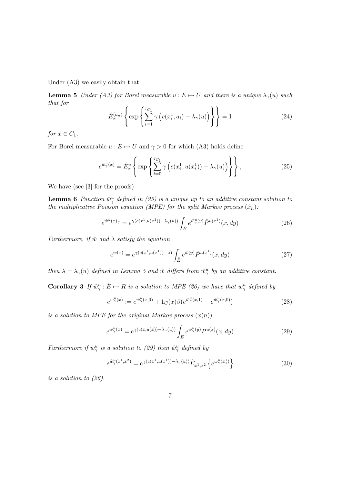Under (A3) we easily obtain that

**Lemma 5** Under (A3) for Borel measurable  $u : E \mapsto U$  and there is a unique  $\lambda_{\gamma}(u)$  such that for  $\overline{a}$  $\overline{a}$  $\ddot{\phantom{a}}$  $\ddot{\phantom{a}}$ 

$$
\hat{E}_x^{(a_n)} \left\{ \exp \left\{ \sum_{i=1}^{\tau_{C_1}} \gamma \left( c(x_i^1, a_i) - \lambda_\gamma(u) \right) \right\} \right\} = 1 \tag{24}
$$

for  $x \in C_1$ .

For Borel measurable  $u : E \mapsto U$  and  $\gamma > 0$  for which (A3) holds define

$$
e^{\hat{w}_{\gamma}^u(x)} = \hat{E}_x^u \left\{ \exp \left\{ \sum_{i=0}^{\tau_{C_1}} \gamma \left( c(x_i^1, u(x_i^1)) - \lambda_{\gamma}(u) \right) \right\} \right\},
$$
\n(25)

We have (see [3] for the proofs)

**Lemma 6** Function  $\hat{w}_{\gamma}^u$  defined in (25) is a unique up to an additive constant solution to the multiplicative Poisson equation (MPE) for the split Markov process  $(\hat{x}_n)$ :

$$
e^{\hat{w}^u(x)} = e^{\gamma(c(x^1, u(x^1)) - \lambda_{\gamma}(u))} \int_{\hat{E}} e^{\hat{w}^u_{\gamma}(y)} \hat{P}^{u(x^1)}(x, dy)
$$
 (26)

Furthermore, if  $\hat{w}$  and  $\lambda$  satisfy the equation

$$
e^{\hat{w}(x)} = e^{\gamma(c(x^1, u(x^1)) - \lambda)} \int_{\hat{E}} e^{\hat{w}(y)} \hat{P}^{u(x^1)}(x, dy)
$$
 (27)

then  $\lambda = \lambda_{\gamma}(u)$  defined in Lemma 5 and  $\hat{w}$  differs from  $\hat{w}^u_{\gamma}$  by an additive constant.

**Corollary 3** If  $\hat{w}^u_\gamma : \hat{E} \mapsto R$  is a solution to MPE (26) we have that  $w^u_\gamma$  defined by

$$
e^{w_{\gamma}^u(x)} := e^{\hat{w}_{\gamma}^u(x,0)} + 1_C(x)\beta(e^{\hat{w}_{\gamma}^u(x,1)} - e^{\hat{w}_{\gamma}^u(x,0)})
$$
\n(28)

is a solution to MPE for the original Markov process  $(x(n))$ 

$$
e^{w_{\gamma}^u(x)} = e^{\gamma(c(x,u(x)) - \lambda_{\gamma}(u))} \int_E e^{w_{\gamma}^u(y)} P^{u(x)}(x, dy)
$$
 (29)

Furthermore if  $w_{\gamma}^u$  is a solution to (29) then  $\hat{w}_{\gamma}^u$  defined by

$$
e^{\hat{w}_{\gamma}^u(x^1, x^2)} = e^{\gamma(c(x^1, u(x^1)) - \lambda_{\gamma}(u))} \hat{E}_{x^1, x^2} \left\{ e^{w_{\gamma}^u(x_1^1)} \right\}
$$
(30)

is a solution to (26).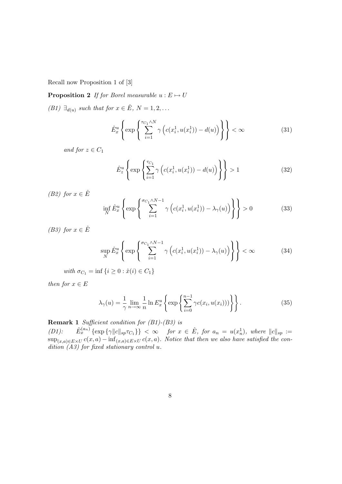Recall now Proposition 1 of [3]

**Proposition 2** If for Borel measurable  $u : E \mapsto U$ 

(B1)  $\exists_{d(u)}$  such that for  $x \in \hat{E}$ ,  $N = 1, 2, ...$ 

$$
\hat{E}_x^u \left\{ \exp\left\{ \sum_{i=1}^{\tau_{C_1} \wedge N} \gamma \left( c(x_i^1, u(x_i^1)) - d(u) \right) \right\} \right\} < \infty
$$
\n(31)

and for  $z \in C_1$ 

$$
\hat{E}_z^u \left\{ \exp\left\{ \sum_{i=1}^{\tau_{C_1}} \gamma \left( c(x_i^1, u(x_i^1)) - d(u) \right) \right\} \right\} > 1
$$
\n(32)

(B2) for  $x \in \hat{E}$ 

$$
\inf_{N} \hat{E}_x^u \left\{ \exp \left\{ \sum_{i=1}^{\sigma_{C_1} \wedge N - 1} \gamma \left( c(x_i^1, u(x_i^1)) - \lambda_\gamma(u) \right) \right\} \right\} > 0 \tag{33}
$$

(B3) for  $x \in \hat{E}$ 

$$
\sup_{N} \hat{E}_{x}^{u} \left\{ \exp \left\{ \sum_{i=1}^{\sigma_{C_{1}} \wedge N-1} \gamma \left( c(x_{i}^{1}, u(x_{i}^{1})) - \lambda_{\gamma}(u) \right) \right\} \right\} < \infty
$$
\n(34)

with  $\sigma_{C_1} = \inf \{ i \geq 0 : \hat{x}(i) \in C_1 \}$ 

then for  $x \in E$ 

$$
\lambda_{\gamma}(u) = \frac{1}{\gamma} \lim_{n \to \infty} \frac{1}{n} \ln E_x^u \left\{ \exp \left\{ \sum_{i=0}^{n-1} \gamma c(x_i, u(x_i)) \right) \right\} \right\}.
$$
 (35)

**Remark 1** Sufficient condition for  $(B1)$ - $(B3)$  is

(D1):  $\hat{E}_x^{(a_n)} \{\exp \{\gamma \|c\|_{sp} \tau_{C_1}\}\} < \infty$  for  $x \in \hat{E}$ , for  $a_n = u(x_n^1)$ , where  $||c||_{sp} :=$  $\sup_{(x,a)\in E\times U} c(x,a) - \inf_{(x,a)\in E\times U} c(x,a)$ . Notice that then we also have satisfied the condition  $(A3)$  for fixed stationary control u.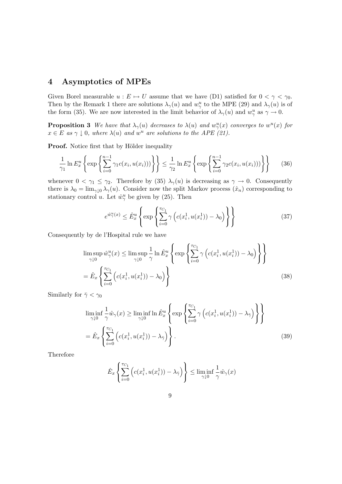# 4 Asymptotics of MPEs

Given Borel measurable  $u : E \mapsto U$  assume that we have (D1) satisfied for  $0 < \gamma < \gamma_0$ . Then by the Remark 1 there are solutions  $\lambda_{\gamma}(u)$  and  $w_{\gamma}^{u}$  to the MPE (29) and  $\lambda_{\gamma}(u)$  is of the form (35). We are now interested in the limit behavior of  $\lambda_{\gamma}(u)$  and  $w_{\gamma}^{u}$  as  $\gamma \to 0$ .

**Proposition 3** We have that  $\lambda_{\gamma}(u)$  decreases to  $\lambda(u)$  and  $w_{\gamma}^{u}(x)$  converges to  $w^{u}(x)$  for  $x \in E$  as  $\gamma \downarrow 0$ , where  $\lambda(u)$  and  $w^u$  are solutions to the APE (21).

**Proof.** Notice first that by Hölder inequality

$$
\frac{1}{\gamma_1} \ln E_x^u \left\{ \exp \left\{ \sum_{i=0}^{n-1} \gamma_1 c(x_i, u(x_i)) \right) \right\} \right\} \le \frac{1}{\gamma_2} \ln E_x^u \left\{ \exp \left\{ \sum_{i=0}^{n-1} \gamma_2 c(x_i, u(x_i)) \right) \right\} \right\}
$$
(36)

whenever  $0 < \gamma_1 \leq \gamma_2$ . Therefore by (35)  $\lambda_{\gamma}(u)$  is decreasing as  $\gamma \to 0$ . Consequently there is  $\lambda_0 = \lim_{\gamma \downarrow 0} \lambda_\gamma(u)$ . Consider now the split Markov process  $(\hat{x}_n)$  corresponding to stationary control u. Let  $\hat{w}_{\gamma}^u$  be given by (25). Then

$$
e^{\hat{w}_{\gamma}^u(x)} \le \hat{E}_x^u \left\{ \exp \left\{ \sum_{i=0}^{\tau_{C_1}} \gamma \left( c(x_i^1, u(x_i^1)) - \lambda_0 \right) \right\} \right\} \tag{37}
$$

Consequently by de l'Hospital rule we have

$$
\limsup_{\gamma \downarrow 0} \hat{w}_{\gamma}^{u}(x) \le \limsup_{\gamma \downarrow 0} \frac{1}{\gamma} \ln \hat{E}_{x}^{u} \left\{ \exp \left\{ \sum_{i=0}^{\tau_{C_{1}}} \gamma \left( c(x_{i}^{1}, u(x_{i}^{1})) - \lambda_{0} \right) \right\} \right\}
$$
\n
$$
= \hat{E}_{x} \left\{ \sum_{i=0}^{\tau_{C_{1}}} \left( c(x_{i}^{1}, u(x_{i}^{1})) - \lambda_{0} \right) \right\} \tag{38}
$$

Similarly for  $\bar{\gamma} < \gamma_0$ 

$$
\liminf_{\gamma \downarrow 0} \frac{1}{\gamma} \hat{w}_{\gamma}(x) \ge \liminf_{\gamma \downarrow 0} \ln \hat{E}_{x}^{u} \left\{ \exp \left\{ \sum_{i=0}^{\tau_{C_{1}}} \gamma \left( c(x_{i}^{1}, u(x_{i}^{1})) - \lambda_{\bar{\gamma}} \right) \right\} \right\}
$$
\n
$$
= \hat{E}_{x} \left\{ \sum_{i=0}^{\tau_{C_{1}}} \left( c(x_{i}^{1}, u(x_{i}^{1})) - \lambda_{\bar{\gamma}} \right) \right\}.
$$
\n(39)

Therefore

$$
\hat{E}_x \left\{ \sum_{i=0}^{\tau_{C_1}} \left( c(x_i^1, u(x_i^1)) - \lambda_{\bar{\gamma}} \right) \right\} \le \liminf_{\gamma \downarrow 0} \frac{1}{\gamma} \hat{w}_{\gamma}(x)
$$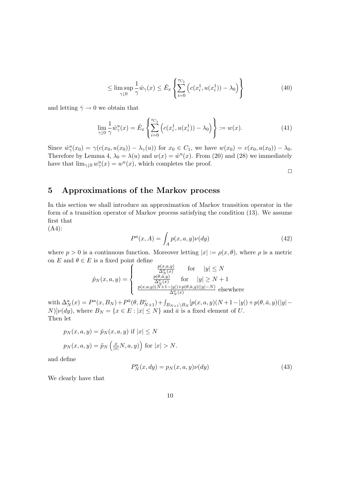$$
\leq \limsup_{\gamma \downarrow 0} \frac{1}{\gamma} \hat{w}_{\gamma}(x) \leq \hat{E}_x \left\{ \sum_{i=0}^{\tau_{C_1}} \left( c(x_i^1, u(x_i^1)) - \lambda_0 \right) \right\} \tag{40}
$$

and letting  $\bar{\gamma} \rightarrow 0$  we obtain that

$$
\lim_{\gamma \downarrow 0} \frac{1}{\gamma} \hat{w}_{\gamma}^{u}(x) = \hat{E}_{x} \left\{ \sum_{i=0}^{\tau_{C_{1}}} \left( c(x_{i}^{1}, u(x_{i}^{1})) - \lambda_{0} \right) \right\} := w(x). \tag{41}
$$

Since  $\hat{w}_{\gamma}^{u}(x_0) = \gamma(c(x_0, u(x_0)) - \lambda_{\gamma}(u))$  for  $x_0 \in C_1$ , we have  $w(x_0) = c(x_0, u(x_0)) - \lambda_0$ . Therefore by Lemma 4,  $\lambda_0 = \lambda(u)$  and  $w(x) = \hat{w}^u(x)$ . From (20) and (28) we immediately have that  $\lim_{\gamma \downarrow 0} w_{\gamma}^u(x) = w^u(x)$ , which completes the proof.

 $\Box$ 

## 5 Approximations of the Markov process

In this section we shall introduce an approximation of Markov transition operator in the form of a transition operator of Markov process satisfying the condition (13). We assume first that

(A4):

$$
P^{a}(x, A) = \int_{A} p(x, a, y)\nu(dy)
$$
\n(42)

where  $p > 0$  is a continuous function. Moreover letting  $|x| := \rho(x, \theta)$ , where  $\rho$  is a metric on E and  $\theta \in E$  is a fixed point define

$$
\tilde{p}_N(x, a, y) = \begin{cases}\n\frac{p(x, a, y)}{\Delta_N^a(x)} & \text{for} \quad |y| \le N \\
\frac{p(\theta, \bar{a}, y)}{\Delta_N^a(x)} & \text{for} \quad |y| \ge N + 1 \\
\frac{p(x, a, y)(N + 1 - |y|) + p(\theta, \bar{a}, y)(|y| - N)}{\Delta_N^a(x)} & \text{elsewhere}\n\end{cases}
$$

with  $\Delta_N^a(x) = P^a(x, B_N) + P^{\bar{a}}(\theta, B_{N+1}^c) + \int_{B_{N+1}\setminus B_N} [p(x, a, y)(N+1-|y|) + p(\theta, \bar{a}, y)(|y| [N]\nu(dy)$ , where  $B_N = \{x \in E : |x| \le N\}$  and  $\bar{a}$  is a fixed element of U. Then let

$$
p_N(x, a, y) = \tilde{p}_N(x, a, y) \text{ if } |x| \le N
$$
  

$$
p_N(x, a, y) = \tilde{p}_N\left(\frac{x}{|x|}N, a, y\right) \text{ for } |x| > N.
$$

and define

$$
P_N^a(x, dy) = p_N(x, a, y)\nu(dy)
$$
\n(43)

We clearly have that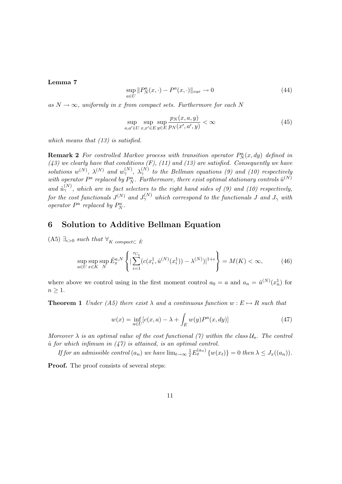#### Lemma 7

$$
\sup_{a \in U} ||P_N^a(x, \cdot) - P^a(x, \cdot)||_{var} \to 0
$$
\n(44)

as  $N \to \infty$ , uniformly in x from compact sets. Furthermore for each N

$$
\sup_{a,a'\in U} \sup_{x,x'\in E} \sup_{y\in E} \frac{p_N(x,a,y)}{p_N(x',a',y)} < \infty \tag{45}
$$

which means that  $(13)$  is satisfied.

**Remark 2** For controlled Markov process with transition operator  $P_N^a(x, dy)$  defined in  $(43)$  we clearly have that conditions  $(F)$ ,  $(11)$  and  $(13)$  are satisfied. Consequently we have solutions  $w^{(N)}$ ,  $\lambda^{(N)}$  and  $w^{(N)}_{\gamma}$ ,  $\lambda^{(N)}_{\gamma}$  to the Bellman equations (9) and (10) respectively with operator  $P^a$  replaced by  $P^a_N$ . Furthermore, there exist optimal stationary controls  $\hat{u}^{(N)}$ and  $\hat{u}_{\gamma}^{(N)}$ , which are in fact selectors to the right hand sides of (9) and (10) respectively, for the cost functionals  $J^{(N)}$  and  $J^{(N)}_{\gamma}$  which correspond to the functionals  $J$  and  $J_{\gamma}$  with operator  $P^a$  replaced by  $P^a_N$ .

#### 6 Solution to Additive Bellman Equation

(A5)  $\exists_{\epsilon>0}$  such that  $\forall_K$  compact⊂  $\hat{E}$ 

$$
\sup_{a \in U} \sup_{x \in K} \sup_N \hat{E}_x^{a,N} \left\{ \left| \sum_{i=1}^{\tau_{C_1}} (c(x_i^1, \hat{u}^{(N)}(x_i^1)) - \lambda^{(N)}) \right|^{1+\epsilon} \right\} = M(K) < \infty,
$$
 (46)

where above we control using in the first moment control  $a_0 = a$  and  $a_n = \hat{u}^{(N)}(x_n)$  for  $n \geq 1$ .

**Theorem 1** Under (A5) there exist  $\lambda$  and a continuous function  $w : E \mapsto R$  such that

$$
w(x) = \inf_{a \in U} [c(x, a) - \lambda + \int_{E} w(y) P^{a}(x, dy)]
$$
 (47)

Moreover  $\lambda$  is an optimal value of the cost functional (7) within the class  $U_s$ . The control  $\hat{u}$  for which infimum in (47) is attained, is an optimal control.

If for an admissible control  $(a_n)$  we have  $\lim_{t\to\infty}\frac{1}{t}E_x^{(a_n)}\{w(x_t)\}=0$  then  $\lambda\leq J_x((a_n))$ .

Proof. The proof consists of several steps: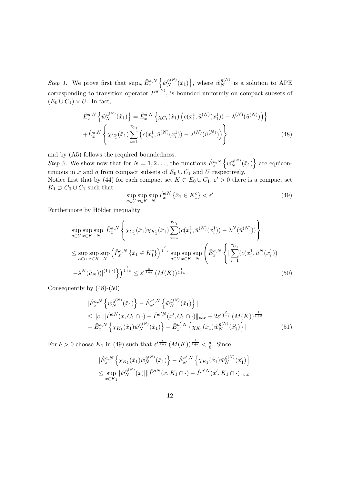Step 1. We prove first that  $\sup_N \hat{E}_x^{a,N}$ n  $\hat{w}^{\hat{u}^{(N)}}_N(\hat{x}_1)$ o , where  $\hat{w}_N^{\hat{u}^{(N)}}$  is a solution to APE corresponding to transition operator  $P^{\hat{u}^{(N)}}$ , is bounded uniformly on compact subsets of  $(E_0 \cup C_1) \times U$ . In fact,

$$
\hat{E}_x^{a,N} \left\{ \hat{w}_N^{\hat{u}^{(N)}}(\hat{x}_1) \right\} = \hat{E}_x^{a,N} \left\{ \chi_{C_1}(\hat{x}_1) \left( c(x_1^1, \hat{u}^{(N)}(x_1^1)) - \lambda^{(N)}(\hat{u}^{(N)}) \right) \right\} \n+ \hat{E}_x^{a,N} \left\{ \chi_{C_1^c}(\hat{x}_1) \sum_{i=1}^{\tau_{C_1}} \left( c(x_i^1, \hat{u}^{(N)}(x_i^1)) - \lambda^{(N)}(\hat{u}^{(N)}) \right) \right\}
$$
\n(48)

and by (A5) follows the required boundedness.

Step 2. We show now that for  $N = 1, 2, \ldots$ , the functions  $\hat{E}_x^{a,N}$ n  $\hat{w}^{\hat{u}^{(N)}}_N(\hat{x}_1)$ o are equicontinuous in x and a from compact subsets of  $E_0 \cup C_1$  and U respectively.

Notice first that by (44) for each compact set  $K \subset E_0 \cup C_1$ ,  $\varepsilon' > 0$  there is a compact set  $K_1 \supset C_0 \cup C_1$  such that

$$
\sup_{a \in U} \sup_{x \in K} \hat{P}_x^{aN} \left\{ \hat{x}_1 \in K_1^c \right\} < \varepsilon' \tag{49}
$$

Furthermore by Hölder inequality

$$
\sup_{a\in U} \sup_{x\in K} \sup_{N} |\hat{E}_{x}^{a,N} \left\{ \chi_{C_{1}^{c}}(\hat{x}_{1}) \chi_{K_{1}^{c}}(\hat{x}_{1}) \sum_{i=1}^{\tau_{C_{1}}} (c(x_{i}^{1}, \hat{u}^{(N)}(x_{i}^{1})) - \lambda^{N}(\hat{u}^{(N)})) \right\}|
$$
\n
$$
\leq \sup_{a\in U} \sup_{x\in K} \sup_{N} \left( \hat{P}_{x}^{a,N} \left\{ \hat{x}_{1} \in K_{1}^{c} \right\} \right)^{\frac{\varepsilon}{1+\varepsilon}} \sup_{a\in U} \sup_{x\in K} \sup_{N} \left( \hat{E}_{x}^{a,N} \left\{ |\sum_{i=1}^{\tau_{C_{1}}} (c(x_{i}^{1}, \hat{u}^{N}(x_{i}^{1})) - \lambda^{N}(\hat{u}_{N}))|^{(1+\varepsilon)} \right\} \right)^{\frac{1}{1+\varepsilon}} \leq \varepsilon'^{\frac{\varepsilon}{1+\varepsilon}} (M(K))^{\frac{1}{1+\varepsilon}}
$$
\n(50)

Consequently by (48)-(50)

$$
\begin{split}\n&\|\hat{E}_{x}^{a,N}\left\{\hat{w}_{N}^{\hat{u}^{(N)}}(\hat{x}_{1})\right\} - \hat{E}_{x'}^{a',N}\left\{\hat{w}_{N}^{\hat{u}^{(N)}}(\hat{x}_{1})\right\} | \\
&\leq \|c\| \|\hat{P}^{a,N}(x,C_{1}\cap\cdot) - \hat{P}^{a'N}(x',C_{1}\cap\cdot)\|_{var} + 2\varepsilon'^{\frac{\varepsilon}{1+\varepsilon}}(M(K))^{\frac{1}{1+\varepsilon}} \\
&\quad + |\hat{E}_{x}^{a,N}\left\{\chi_{K_{1}}(\hat{x}_{1})\hat{w}_{N}^{\hat{u}^{(N)}}(\hat{x}_{1})\right\} - \hat{E}_{x'}^{a',N}\left\{\chi_{K_{1}}(\hat{x}_{1})\hat{w}_{N}^{\hat{u}^{(N)}}(\hat{x}'_{1})\right\} | \tag{51}\n\end{split}
$$

For  $\delta > 0$  choose  $K_1$  in (49) such that  $\varepsilon^{\prime \frac{\varepsilon}{1+\varepsilon}} (M(K))^{\frac{1}{1+\varepsilon}} < \frac{\delta}{6}$  $\frac{\delta}{6}$ . Since

$$
\begin{aligned} &\|\hat{E}_x^{a,N}\left\{\chi_{K_1}(\hat{x}_1)\hat{w}_N^{\hat{u}^{(N)}}(\hat{x}_1)\right\} - \hat{E}_{x'}^{a',N}\left\{\chi_{K_1}(\hat{x}_1)\hat{w}_N^{\hat{u}^{(N)}}(\hat{x}_1')\right\}|\\ &\leq \sup_{x\in K_1}|\hat{w}_N^{\hat{u}^{(N)}}(x)| \|\hat{P}^{aN}(x,K_1\cap \cdot) - \hat{P}^{a'N}(x',K_1\cap \cdot)\|_{var}\end{aligned}
$$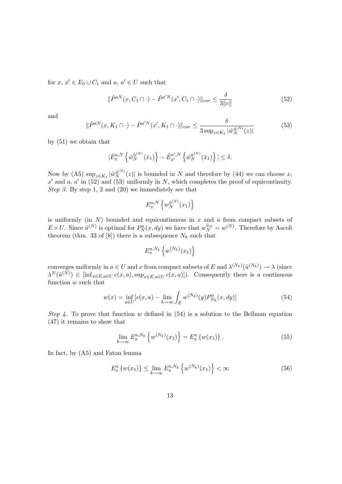for  $x, x' \in E_0 \cup C_1$  and  $a, a' \in U$  such that

$$
\|\hat{P}^{aN}(x, C_1 \cap \cdot) - \hat{P}^{a/N}(x', C_1 \cap \cdot)\|_{var} \le \frac{\delta}{3\|c\|} \tag{52}
$$

and

$$
\|\hat{P}^{aN}(x,K_1 \cap \cdot) - \hat{P}^{a'N}(x',K_1 \cap \cdot)\|_{var} \le \frac{\delta}{3 \sup_{z \in K_1} |\hat{w}_N^{\hat{u}(N)}(z)|}
$$
(53)

by (51) we obtain that

$$
|\hat{E}_{x}^{a,N}\left\{\hat{w}_{N}^{\hat{u}^{(N)}}(\hat{x}_{1})\right\}-\hat{E}_{x'}^{a',N}\left\{\hat{w}_{N}^{\hat{u}^{(N)}}(\hat{x}_{1})\right\}| \leq \delta.
$$

Now by (A5)  $\sup_{z \in K_1} |\hat{w}_N^{\hat{u}^{(N)}}(z)|$  is bounded in N and therefore by (44) we can choose x, x' and a, a' in (52) and (53) uniformly in N, which completes the proof of equicontinuity. Step 3. By step 1, 2 and (20) we immediately see that

$$
E_x^{a,N}\left\{w_N^{\hat{u}^{(N)}}(x_1)\right\}
$$

is uniformly (in  $N$ ) bounded and equicontinuous in  $x$  and  $a$  from compact subsets of  $E \times U$ . Since  $\hat{u}^{(N)}$  is optimal for  $P_N^a(x, dy)$  we have that  $w_N^{\hat{u}_N} = w^{(N)}$ . Therefore by Ascoli theorem (thm. 33 of [8]) there is a subsequence  $N_k$  such that

$$
E_x^{a,N_k} \left\{ w^{(N_k)}(x_1) \right\}
$$

converges uniformly in  $a \in U$  and x from compact subsets of E and  $\lambda^{(N_k)}(\hat{u}^{(N_k)}) \to \lambda$  (since  $\lambda^N(\hat{u}^{(N)}) \in [\inf_{x \in E, a \in U} c(x, a), \sup_{x \in E, a \in U} c(x, a)]$ ). Consequently there is a continuous function w such that

$$
w(x) = \inf_{a \in U} [c(x, a) - \lim_{k \to \infty} \int_{E} w^{(N_k)}(y) P_{N_k}^a(x, dy)]
$$
\n(54)

Step 4. To prove that function w defined in  $(54)$  is a solution to the Bellman equation (47) it remains to show that

$$
\lim_{k \to \infty} E_x^{a, N_k} \left\{ w^{(N_k)}(x_1) \right\} = E_x^a \left\{ w(x_1) \right\}.
$$
\n(55)

In fact, by (A5) and Fatou lemma

$$
E_x^a \{ w(x_1) \} \le \lim_{k \to \infty} E_x^{a, N_k} \left\{ w^{(N_k)}(x_1) \right\} < \infty
$$
 (56)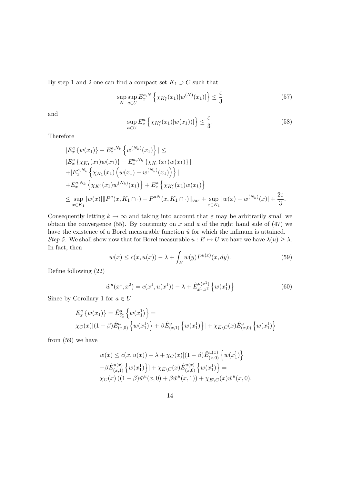By step 1 and 2 one can find a compact set  $K_1 \supset C$  such that

$$
\sup_{N} \sup_{a \in U} E_{x}^{a,N} \left\{ \chi_{K_{1}^{c}}(x_{1}) |w^{(N)}(x_{1})| \right\} \leq \frac{\varepsilon}{3}
$$
\n
$$
(57)
$$

and

$$
\sup_{a \in U} E_x^a \left\{ \chi_{K_1^c}(x_1) |w(x_1)| \right\} \le \frac{\varepsilon}{3}.
$$
\n(58)

Therefore

$$
|E_x^a\{w(x_1)\} - E_x^{a,N_k}\{w^{(N_k)}(x_1)\}| \le
$$
  
\n
$$
|E_x^a\{\chi_{K_1}(x_1)w(x_1)\} - E_x^{a,N_k}\{\chi_{K_1}(x_1)w(x_1)\}|
$$
  
\n
$$
+ |E_x^{a,N_k}\{\chi_{K_1}(x_1) (w(x_1) - w^{(N_k)}(x_1))\}|
$$
  
\n
$$
+ E_x^{a,N_k}\{\chi_{K_1^c}(x_1)w^{(N_k)}(x_1)\} + E_x^a\{\chi_{K_1^c}(x_1)w(x_1)\}
$$
  
\n
$$
\leq \sup_{x \in K_1} |w(x)| ||P^a(x, K_1 \cap \cdot) - P^{aN}(x, K_1 \cap \cdot) ||_{var} + \sup_{x \in K_1} |w(x) - w^{(N_k)}(x)| + \frac{2\varepsilon}{3}.
$$

Consequently letting  $k \to \infty$  and taking into account that  $\varepsilon$  may be arbitrarily small we obtain the convergence (55). By continuity on x and a of the right hand side of (47) we have the existence of a Borel measurable function  $\hat{u}$  for which the infimum is attained. Step 5. We shall show now that for Borel measurable  $u : E \mapsto U$  we have we have  $\lambda(u) \geq \lambda$ . In fact, then

$$
w(x) \le c(x, u(x)) - \lambda + \int_{E} w(y) P^{u(x)}(x, dy). \tag{59}
$$

Define following (22)

$$
\hat{w}^u(x^1, x^2) = c(x^1, u(x^1)) - \lambda + \hat{E}_{x^1, x^2}^{u(x^1)} \left\{ w(x_1^1) \right\} \tag{60}
$$

Since by Corollary 1 for  $a\in U$ 

$$
E_x^a \{ w(x_1) \} = \hat{E}_{\delta_x^*}^a \{ w(x_1^1) \} =
$$
  
 
$$
\chi_C(x) [(1 - \beta) \hat{E}_{(x,0)}^a \{ w(x_1^1) \} + \beta \hat{E}_{(x,1)}^a \{ w(x_1^1) \} ] + \chi_{E \setminus C}(x) \hat{E}_{(x,0)}^a \{ w(x_1^1) \}
$$

from (59) we have

$$
w(x) \le c(x, u(x)) - \lambda + \chi_C(x)[(1 - \beta)\hat{E}_{(x,0)}^{u(x)} \{w(x_1^1)\} + \beta \hat{E}_{(x,1)}^{u(x)} \{w(x_1^1)\} + \chi_{E\setminus C}(x)\hat{E}_{(x,0)}^{u(x)} \{w(x_1^1)\} =
$$
  
 
$$
\chi_C(x) ((1 - \beta)\hat{w}^u(x, 0) + \beta \hat{w}^u(x, 1)) + \chi_{E\setminus C}(x)\hat{w}^u(x, 0).
$$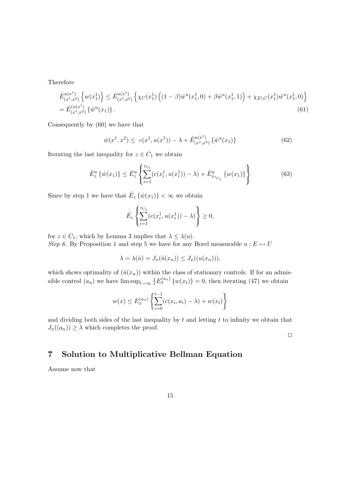Therefore

$$
\hat{E}_{(x^1,x^2)}^{u(x^1)} \left\{ w(x_1^1) \right\} \le \hat{E}_{(x^1,x^2)}^{u(x^1)} \left\{ \chi_C(x_1^1) \left( (1-\beta) \hat{w}^u(x_1^1,0) + \beta \hat{w}^u(x_1^1,1) \right) + \chi_{E \setminus C}(x_1^1) \hat{w}^u(x_1^1,0) \right\} \n= \hat{E}_{(x^1,x^2)}^{(u(x^1))} \left\{ \hat{w}^u(x_1) \right\}.
$$
\n(61)

Consequently by (60) we have that

$$
\hat{w}(x^1, x^2) \leq c(x^1, u(x^1)) - \lambda + \hat{E}_{(x^1, x^2)}^{u(x^1)} \{\hat{w}^u(x_1)\}\
$$
\n(62)

Iterating the last inequality for  $z \in C_1$  we obtain

$$
\hat{E}_z^u \left\{ \hat{w}(x_1) \right\} \le \hat{E}_z^u \left\{ \sum_{i=1}^{\tau_{C_1}} (c(x_i^1, u(x_i^1)) - \lambda) + \hat{E}_{x_{\tau_{C_1}}}^u \left\{ w(x_1) \right\} \right\}
$$
(63)

Since by step 1 we have that  $\hat{E}_z \{\hat{w}(x_1)\} < \infty$  we obtain

$$
\hat{E}_z \left\{ \sum_{i=1}^{\tau_{C_1}} (c(x_i^1, u(x_i^1)) - \lambda) \right\} \ge 0,
$$

for  $z \in C_1$ , which by Lemma 3 implies that  $\lambda \leq \lambda(u)$ .

Step 6. By Proposition 1 and step 5 we have for any Borel measurable  $u : E \mapsto U$ 

$$
\lambda = \lambda(\hat{u}) = J_x(\hat{u}(x_n)) \le J_x((u(x_n))),
$$

which shows optimality of  $(\hat{u}(x_n))$  within the class of stationary controls. If for an admissible control  $(a_n)$  we have  $\limsup_{t\to\infty} \frac{1}{t} E_x^{(a_n)} \{w(x_t)\} = 0$ , then iterating (47) we obtain

$$
w(x) \le E_x^{(a_n)} \left\{ \sum_{i=0}^{t-1} (c(x_i, a_i) - \lambda) + w(x_t) \right\}
$$

and dividing both sides of the last inequality by  $t$  and letting  $t$  to infinity we obtain that  $J_x((a_n)) \geq \lambda$  which completes the proof.

 $\Box$ 

# 7 Solution to Multiplicative Bellman Equation

Assume now that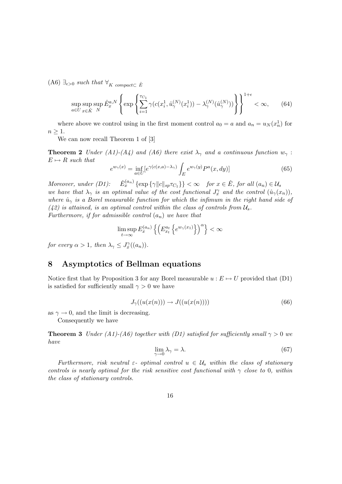(A6)  $\exists_{\epsilon>0}$  such that  $\forall_K$  compact⊂  $\hat{E}$ 

$$
\sup_{a\in U} \sup_{x\in \hat{K}} \sup_N \hat{E}_x^{a,N} \left\{ \exp\left\{ \sum_{i=1}^{\tau_{C_1}} \gamma(c(x_i^1, \hat{u}_{\gamma}^{(N)}(x_i^1)) - \lambda_{\gamma}^{(N)}(\hat{u}_{\gamma}^{(N)})) \right\} \right\}^{1+\epsilon} < \infty, \qquad (64)
$$

where above we control using in the first moment control  $a_0 = a$  and  $a_n = u_N(x_n^1)$  for  $n \geq 1$ .

We can now recall Theorem 1 of [3]

**Theorem 2** Under (A1)-(A4) and (A6) there exist  $\lambda_{\gamma}$  and a continuous function  $w_{\gamma}$ :  $E \mapsto R$  such that

$$
e^{w_{\gamma}(x)} = \inf_{a \in U} \left[e^{\gamma(c(x,a) - \lambda_{\gamma})} \int_{E} e^{w_{\gamma}(y)} P^{a}(x, dy)\right]
$$
(65)

Moreover, under  $(D1)$ :  $\hat{E}_x^{(a_n)} \{\exp \{\gamma ||c||_{sp}\tau_{C_1}\}\} < \infty$  for  $x \in \hat{E}$ , for all  $(a_n) \in \mathcal{U}_s$ we have that  $\lambda_{\gamma}$  is an optimal value of the cost functional  $J_{x}^{\gamma}$  and the control  $(\hat{u}_{\gamma}(x_n))$ , where  $\hat{u}_{\gamma}$  is a Borel measurable function for which the infimum in the right hand side of  $(42)$  is attained, is an optimal control within the class of controls from  $\mathcal{U}_s$ . Furthermore, if for admissible control  $(a_n)$  we have that

$$
\limsup_{t \to \infty} E_x^{(a_n)} \left\{ \left( E_{x_t}^{a_t} \left\{ e^{w_\gamma(x_1)} \right\} \right)^\alpha \right\} < \infty
$$

for every  $\alpha > 1$ , then  $\lambda_{\gamma} \leq J_x^{\gamma}((a_n))$ .

#### 8 Asymptotics of Bellman equations

Notice first that by Proposition 3 for any Borel measurable  $u : E \mapsto U$  provided that (D1) is satisfied for sufficiently small  $\gamma > 0$  we have

$$
J_{\gamma}((u(x(n))) \to J((u(x(n)))) \tag{66}
$$

as  $\gamma \rightarrow 0$ , and the limit is decreasing. Consequently we have

**Theorem 3** Under (A1)-(A6) together with (D1) satisfied for sufficiently small  $\gamma > 0$  we have

$$
\lim_{\gamma \to 0} \lambda_{\gamma} = \lambda. \tag{67}
$$

Furthermore, risk neutral  $\varepsilon$ - optimal control  $u \in \mathcal{U}_s$  within the class of stationary controls is nearly optimal for the risk sensitive cost functional with  $\gamma$  close to 0, within the class of stationary controls.